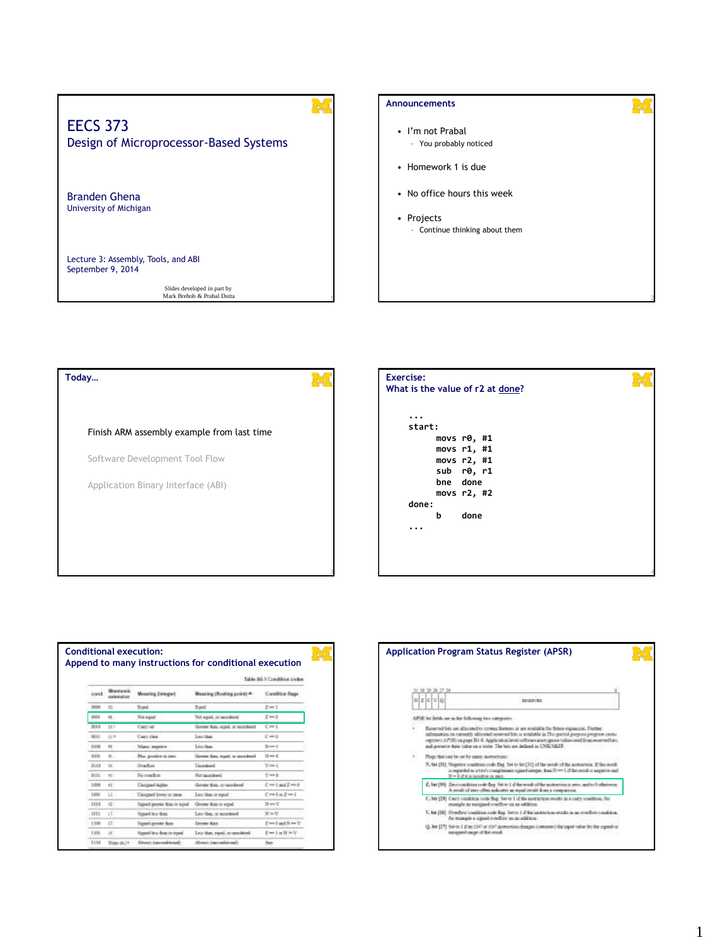## **1** EECS 373 Design of Microprocessor-Based Systems Branden Ghena University of Michigan Lecture 3: Assembly, Tools, and ABI September 9, 2014 Slides developed in part by **a comparison of the comparison of the comparison of the comparison of the comparison of the comparison of the comparison of the comparison of the comparison of the comparison of the comparison Announcements** • I'm not Prabal – You probably noticed • Homework 1 is due • No office hours this week • Projects – Continue thinking about them

**Today…** Finish ARM assembly example from last time Software Development Tool Flow Application Binary Interface (ABI)

# **3 4 ... start: movs r0, #1 movs r1, #1 movs r2, #1 sub r0, r1 bne done movs r2, #2 done: b done ... Exercise: What is the value of r2 at done?**

|             |                               |                                 |                                    | Table A& I Condition codes |
|-------------|-------------------------------|---------------------------------|------------------------------------|----------------------------|
| cored       | Morecotk.<br><b>ANGER MAR</b> | <b>Monday Design!</b>           | Meaning (Booking point) =          | Condition flags            |
| boog        | $\equiv$                      | Tond                            | Topol                              | $z = i$                    |
| 6000        | it.                           | Not kope !                      | Not equal, in resordant            | I'm il                     |
| <b>3045</b> | <b>BLS</b>                    | Cast at                         | Greeter from rental, or associated | $C = 1$                    |
| <b>MIL</b>  | 以来                            | <b>Cast dies</b>                | Leuction.                          | Cord                       |
| 1100        | $\overline{a}$                | Massi, seasone                  | Linux Ham-                         | $3 - 1$                    |
| 8,008       | m.                            | Plus: produce as seen           | Lizzater Sun, would be exceedered  | $15 - 5$                   |
| 3118        | w                             | Darker                          | Lincellound                        | Used                       |
| 3111        | ÷                             | Sicosofice:                     | Nicappelleni,                      | <b>Mand</b>                |
| 1,008       | 60                            | <b>Uniqued Saffer</b>           | Gentle fold, in new Need           | $C = L$ and $Z = 0$        |
| 1,000       | LE.                           | Unstand from or now             | Lass than or aqual                 | $C = 1 + Z = 1$            |
| 1048<br>    | ot:                           | Signed present than it would    | Greene from or retain              | NumV                       |
| tett        | <b>ct</b>                     | Samed box Road                  | Los than or monkeed.               | $N \approx U$              |
| 1:100       | ct                            | ligned general than             | <b>Cersus than</b>                 | $T = 0$ and $N = N$        |
| 1.006       | ir.                           | Signed less than or report      | Less than, yound, or sampleively   | Iterlachthy                |
| 1110        | Neps (iii.) +                 | <b>Electric Entertainment</b> ? | Above two-adm-salt                 | Awe                        |

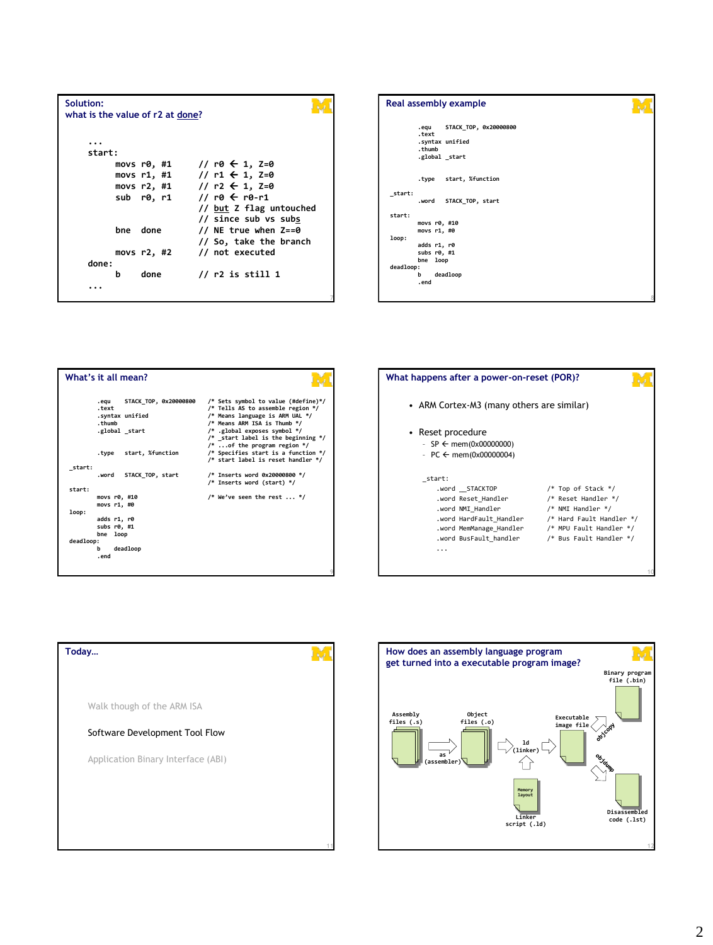| Solution: |   | what is the value of r2 at done? |                             |  |
|-----------|---|----------------------------------|-----------------------------|--|
|           |   |                                  |                             |  |
| start:    |   |                                  |                             |  |
|           |   | movs r0, #1                      | // r0 ← 1, Z=0              |  |
|           |   | movs r1, #1                      | // r1 $\leftarrow$ 1, Z=0   |  |
|           |   |                                  | movs r2, #1 // r2 ← 1, Z=0  |  |
|           |   | sub r0, r1                       | // r0 $\leftarrow$ r0-r1    |  |
|           |   |                                  | // but Z flag untouched     |  |
|           |   |                                  | // since sub vs subs        |  |
|           |   | bne done                         | // NE true when $Z==0$      |  |
|           |   |                                  | // So, take the branch      |  |
|           |   |                                  | movs r2, #2 // not executed |  |
| done:     |   |                                  |                             |  |
|           | b | done                             | $\frac{1}{1}$ r2 is still 1 |  |
|           |   |                                  |                             |  |
|           |   |                                  |                             |  |







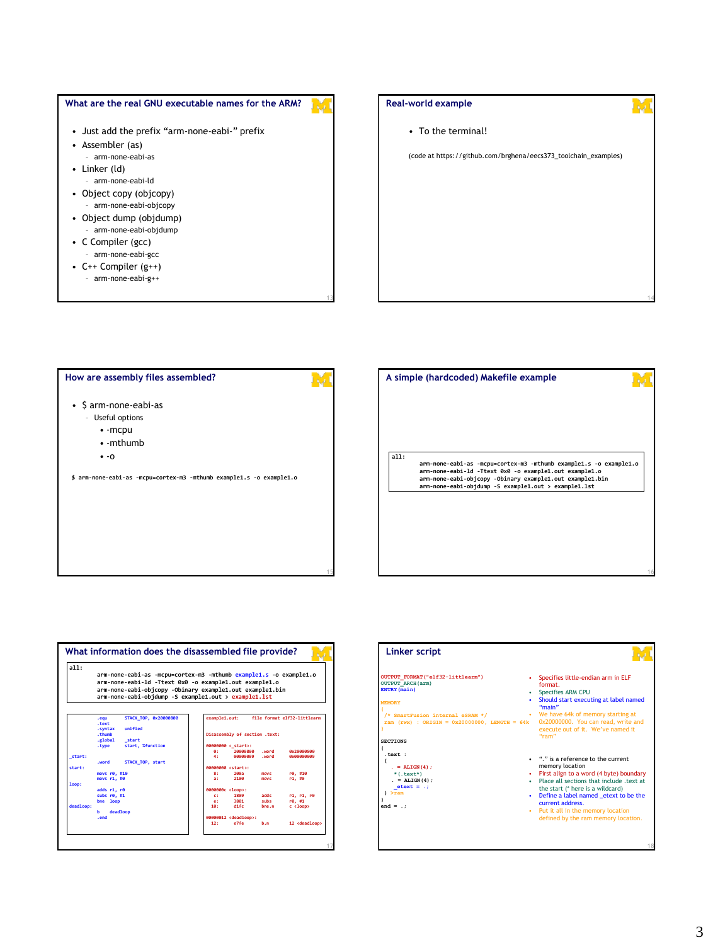



• To the terminal!

(code at https://github.com/brghena/eecs373\_toolchain\_examples)

**14**

**16**

#### **How are assembly files assembled?**

- \$ arm-none-eabi-as
	- Useful options
		- -mcpu • -mthumb
		-
		- -o

**\$ arm-none-eabi-as -mcpu=cortex-m3 -mthumb example1.s -o example1.o**

**15**

**all: arm-none-eabi-as -mcpu=cortex-m3 -mthumb example1.s -o example1.o arm-none-eabi-ld -Ttext 0x0 -o example1.out example1.o arm-none-eabi-objcopy -Obinary example1.out example1.bin arm-none-eabi-objdump -S example1.out > example1.lst A simple (hardcoded) Makefile example**



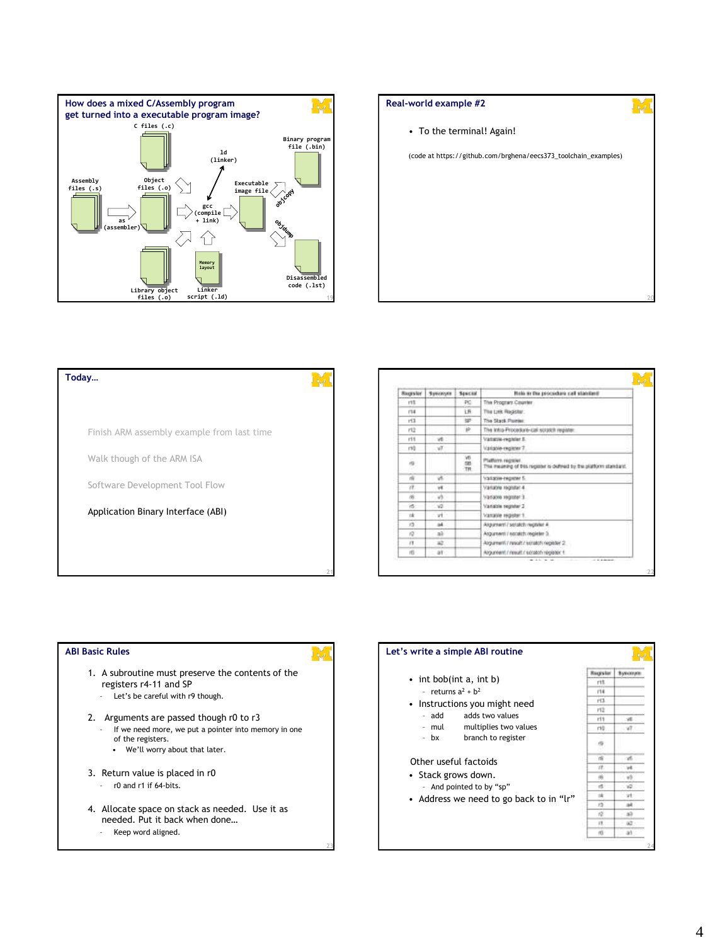

# **Real-world example #2** • To the terminal! Again! (code at https://github.com/brghena/eecs373\_toolchain\_examples) **20**

**Today…** Finish ARM assembly example from last time Walk though of the ARM ISA Software Development Tool Flow Application Binary Interface (ABI)

| <b>Bugsler</b> | Systems | Seuchid | Role in the procedure call standard                                                    |
|----------------|---------|---------|----------------------------------------------------------------------------------------|
| rit            |         | PC.     | The Program Counter                                                                    |
| 134            |         | LR      | The Link Register:                                                                     |
| rt3            |         | w       | The Stack Painter.                                                                     |
| 戏              |         | ×       | The Intra-Procedure-call scrutch register.                                             |
| 111            | v6      |         | Vantasve-vezeler E                                                                     |
| rtů            | W.      |         | Variable register 7                                                                    |
| 49             |         | 言語言     | Platform register<br>The meaning of this register is defined by the platform standard. |
| 亩              | w.      |         | Yatarın rezerin.                                                                       |
| χŸ.            | w       |         | Variable registal 4                                                                    |
| 商              | W.      |         | Уалахи номи 3                                                                          |
| iS.            | va      |         | Vanade regruter 2                                                                      |
| 1k             | vH.     |         | Vanable register 1                                                                     |
| 12             | 24      |         | Assument / scratch register 4                                                          |
| 10             | a3      |         | Asgureant / escalch register 3.                                                        |
| $\alpha$       | až.     |         | Argument / result / scratch register 2.                                                |
| m              | AT-     |         | Argumeent / nesult / scratch register 1                                                |

#### **ABI Basic Rules**

- 1. A subroutine must preserve the contents of the registers r4-11 and SP
	- Let's be careful with r9 though.
- 2. Arguments are passed though r0 to r3 – If we need more, we put a pointer into memory in one
	- of the registers. • We'll worry about that later.
- 3. Return value is placed in r0
	- r0 and r1 if 64-bits.
- 4. Allocate space on stack as needed. Use it as needed. Put it back when done…
	- Keep word aligned.

#### **Let's write a simple ABI routine** Supplier Sysonym • int bob(int a, int b)  $^{\prime\prime\prime}$ - returns  $a^2 + b^2$  $114$  $r13$ • Instructions you might need 性 – add adds two values  $r11$ vl. – mul multiplies two values  $ri$ ¥Ī, – bx branch to register

#### Other useful factoids

**23**

- Stack grows down. – And pointed to by "sp"
- Address we need to go back to in "lr"